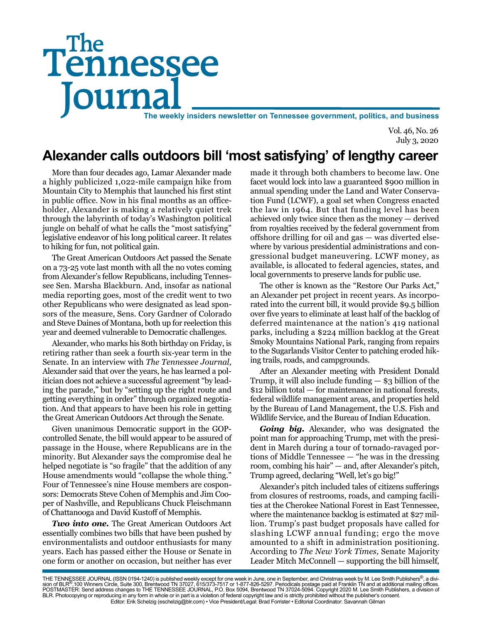# Tennessee **Journal** The weekly insiders newsletter on Tennessee government, politics, and business The

Vol. 46, No. 26 July 3, 2020

## **Alexander calls outdoors bill 'most satisfying' of lengthy career**

More than four decades ago, Lamar Alexander made a highly publicized 1,022-mile campaign hike from Mountain City to Memphis that launched his first stint in public office. Now in his final months as an officeholder, Alexander is making a relatively quiet trek through the labyrinth of today's Washington political jungle on behalf of what he calls the "most satisfying" legislative endeavor of his long political career. It relates to hiking for fun, not political gain.

The Great American Outdoors Act passed the Senate on a 73-25 vote last month with all the no votes coming from Alexander's fellow Republicans, including Tennessee Sen. Marsha Blackburn. And, insofar as national media reporting goes, most of the credit went to two other Republicans who were designated as lead sponsors of the measure, Sens. Cory Gardner of Colorado and Steve Daines of Montana, both up for reelection this year and deemed vulnerable to Democratic challenges.

Alexander, who marks his 80th birthday on Friday, is retiring rather than seek a fourth six-year term in the Senate. In an interview with *The Tennessee Journal,* Alexander said that over the years, he has learned a politician does not achieve a successful agreement "by leading the parade," but by "setting up the right route and getting everything in order" through organized negotiation. And that appears to have been his role in getting the Great American Outdoors Act through the Senate.

Given unanimous Democratic support in the GOPcontrolled Senate, the bill would appear to be assured of passage in the House, where Republicans are in the minority. But Alexander says the compromise deal he helped negotiate is "so fragile" that the addition of any House amendments would "collapse the whole thing." Four of Tennessee's nine House members are cosponsors: Democrats Steve Cohen of Memphis and Jim Cooper of Nashville, and Republicans Chuck Fleischmann of Chattanooga and David Kustoff of Memphis.

*Two into one.* The Great American Outdoors Act essentially combines two bills that have been pushed by environmentalists and outdoor enthusiasts for many years. Each has passed either the House or Senate in one form or another on occasion, but neither has ever

made it through both chambers to become law. One facet would lock into law a guaranteed \$900 million in annual spending under the Land and Water Conservation Fund (LCWF), a goal set when Congress enacted the law in 1964. But that funding level has been achieved only twice since then as the money — derived from royalties received by the federal government from offshore drilling for oil and gas — was diverted elsewhere by various presidential administrations and congressional budget maneuvering. LCWF money, as available, is allocated to federal agencies, states, and local governments to preserve lands for public use.

The other is known as the "Restore Our Parks Act," an Alexander pet project in recent years. As incorporated into the current bill, it would provide \$9.5 billion over five years to eliminate at least half of the backlog of deferred maintenance at the nation's 419 national parks, including a \$224 million backlog at the Great Smoky Mountains National Park, ranging from repairs to the Sugarlands Visitor Center to patching eroded hiking trails, roads, and campgrounds.

After an Alexander meeting with President Donald Trump, it will also include funding  $-$  \$3 billion of the \$12 billion total — for maintenance in national forests, federal wildlife management areas, and properties held by the Bureau of Land Management, the U.S. Fish and Wildlife Service, and the Bureau of Indian Education.

*Going big.* Alexander, who was designated the point man for approaching Trump, met with the president in March during a tour of tornado-ravaged portions of Middle Tennessee — "he was in the dressing room, combing his hair" — and, after Alexander's pitch, Trump agreed, declaring "Well, let's go big!"

Alexander's pitch included tales of citizens sufferings from closures of restrooms, roads, and camping facilities at the Cherokee National Forest in East Tennessee, where the maintenance backlog is estimated at \$27 million. Trump's past budget proposals have called for slashing LCWF annual funding; ergo the move amounted to a shift in administration positioning. According to *The New York Times,* Senate Majority Leader Mitch McConnell — supporting the bill himself,

THE TENNESSEE JOURNAL (ISSN 0194-1240) is published weekly except for one week in June, one in September, and Christmas week by M. Lee Smith Publishers®, a divi-<br>sion of BLR®,100 Winners Circle, Suite 300, Brentwood TN 370 BLR. Photocopying or reproducing in any form in whole or in part is a violation of federal copyright law and is strictly prohibited without the publisher's consent. Editor: Erik Schelzig (eschelzig@blr.com) • Vice President/Legal: Brad Forrister • Editorial Coordinator: Savannah Gilman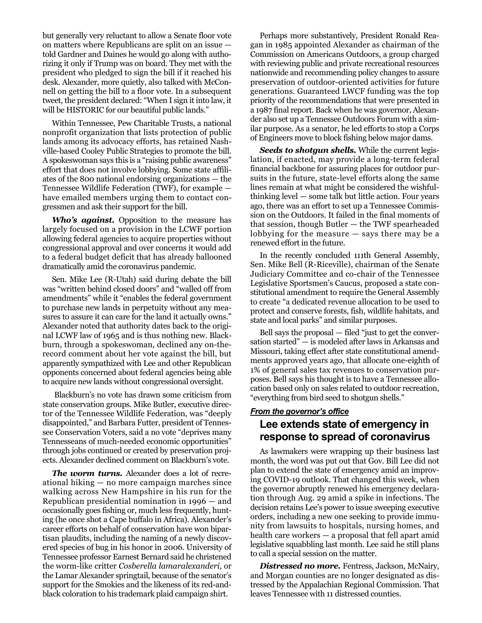but generally very reluctant to allow a Senate floor vote on matters where Republicans are split on an issue told Gardner and Daines he would go along with authorizing it only if Trump was on board. They met with the president who pledged to sign the bill if it reached his desk. Alexander, more quietly, also talked with McConnell on getting the bill to a floor vote. In a subsequent tweet, the president declared: "When I sign it into law, it will be HISTORIC for our beautiful public lands."

Within Tennessee, Pew Charitable Trusts, a national nonprofit organization that lists protection of public lands among its advocacy efforts, has retained Nashville-based Cooley Public Strategies to promote the bill. A spokeswoman says this is a "raising public awareness" effort that does not involve lobbying. Some state affiliates of the 800 national endorsing organizations — the Tennessee Wildlife Federation (TWF), for example have emailed members urging them to contact congressmen and ask their support for the bill.

*Who's against.* Opposition to the measure has largely focused on a provision in the LCWF portion allowing federal agencies to acquire properties without congressional approval and over concerns it would add to a federal budget deficit that has already ballooned dramatically amid the coronavirus pandemic.

Sen. Mike Lee (R-Utah) said during debate the bill was "written behind closed doors" and "walled off from amendments" while it "enables the federal government to purchase new lands in perpetuity without any measures to assure it can care for the land it actually owns." Alexander noted that authority dates back to the original LCWF law of 1965 and is thus nothing new. Blackburn, through a spokeswoman, declined any on-therecord comment about her vote against the bill, but apparently sympathized with Lee and other Republican opponents concerned about federal agencies being able to acquire new lands without congressional oversight.

 Blackburn's no vote has drawn some criticism from state conservation groups. Mike Butler, executive director of the Tennessee Wildlife Federation, was "deeply disappointed," and Barbara Futter, president of Tennessee Conservation Voters, said a no vote "deprives many Tennesseans of much-needed economic opportunities" through jobs continued or created by preservation projects. Alexander declined comment on Blackburn's vote.

*The worm turns.* Alexander does a lot of recreational hiking — no more campaign marches since walking across New Hampshire in his run for the Republican presidential nomination in 1996 — and occasionally goes fishing or, much less frequently, hunting (he once shot a Cape buffalo in Africa). Alexander's career efforts on behalf of conservation have won bipartisan plaudits, including the naming of a newly discovered species of bug in his honor in 2006. University of Tennessee professor Earnest Bernard said he christened the worm-like critter *Cosberella lamaralexanderi,* or the Lamar Alexander springtail, because of the senator's support for the Smokies and the likeness of its red-andblack coloration to his trademark plaid campaign shirt.

Perhaps more substantively, President Ronald Reagan in 1985 appointed Alexander as chairman of the Commission on Americans Outdoors, a group charged with reviewing public and private recreational resources nationwide and recommending policy changes to assure preservation of outdoor-oriented activities for future generations. Guaranteed LWCF funding was the top priority of the recommendations that were presented in a 1987 final report. Back when he was governor, Alexander also set up a Tennessee Outdoors Forum with a similar purpose. As a senator, he led efforts to stop a Corps of Engineers move to block fishing below major dams.

*Seeds to shotgun shells.* While the current legislation, if enacted, may provide a long-term federal financial backbone for assuring places for outdoor pursuits in the future, state-level efforts along the same lines remain at what might be considered the wishfulthinking level — some talk but little action. Four years ago, there was an effort to set up a Tennessee Commission on the Outdoors. It failed in the final moments of that session, though Butler — the TWF spearheaded lobbying for the measure — says there may be a renewed effort in the future.

In the recently concluded 111th General Assembly, Sen. Mike Bell (R-Riceville), chairman of the Senate Judiciary Committee and co-chair of the Tennessee Legislative Sportsmen's Caucus, proposed a state constitutional amendment to require the General Assembly to create "a dedicated revenue allocation to be used to protect and conserve forests, fish, wildlife habitats, and state and local parks" and similar purposes.

Bell says the proposal — filed "just to get the conversation started" — is modeled after laws in Arkansas and Missouri, taking effect after state constitutional amendments approved years ago, that allocate one-eighth of 1% of general sales tax revenues to conservation purposes. Bell says his thought is to have a Tennessee allocation based only on sales related to outdoor recreation, "everything from bird seed to shotgun shells."

#### *From the governor's office*

#### **Lee extends state of emergency in response to spread of coronavirus**

As lawmakers were wrapping up their business last month, the word was put out that Gov. Bill Lee did not plan to extend the state of emergency amid an improving COVID-19 outlook. That changed this week, when the governor abruptly renewed his emergency declaration through Aug. 29 amid a spike in infections. The decision retains Lee's power to issue sweeping executive orders, including a new one seeking to provide immunity from lawsuits to hospitals, nursing homes, and health care workers — a proposal that fell apart amid legislative squabbling last month. Lee said he still plans to call a special session on the matter.

*Distressed no more.* Fentress, Jackson, McNairy, and Morgan counties are no longer designated as distressed by the Appalachian Regional Commission. That leaves Tennessee with 11 distressed counties.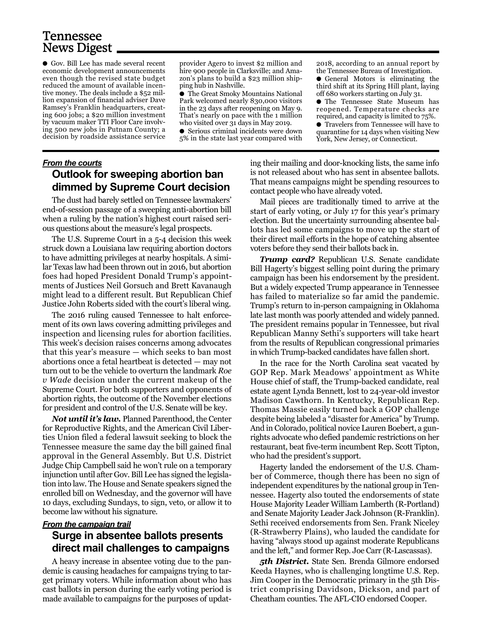## Tennessee News Digest

● Gov. Bill Lee has made several recent economic development announcements even though the revised state budget reduced the amount of available incentive money. The deals include a \$52 million expansion of financial adviser Dave Ramsey's Franklin headquarters, creating 600 jobs; a \$20 million investment by vacuum maker TTI Floor Care involving 500 new jobs in Putnam County; a decision by roadside assistance service

provider Agero to invest \$2 million and hire 900 people in Clarksville; and Amazon's plans to build a \$23 million shipping hub in Nashville.

● The Great Smoky Mountains National Park welcomed nearly 830,000 visitors in the 23 days after reopening on May 9. That's nearly on pace with the 1 million who visited over 31 days in May 2019. ● Serious criminal incidents were down

5% in the state last year compared with

2018, according to an annual report by the Tennessee Bureau of Investigation. ● General Motors is eliminating the

third shift at its Spring Hill plant, laying off 680 workers starting on July 31.

● The Tennessee State Museum has reopened. Temperature checks are required, and capacity is limited to 75%.

● Travelers from Tennessee will have to quarantine for 14 days when visiting New York, New Jersey, or Connecticut.

#### *From the courts* **Outlook for sweeping abortion ban dimmed by Supreme Court decision**

The dust had barely settled on Tennessee lawmakers' end-of-session passage of a sweeping anti-abortion bill when a ruling by the nation's highest court raised serious questions about the measure's legal prospects.

The U.S. Supreme Court in a 5-4 decision this week struck down a Louisiana law requiring abortion doctors to have admitting privileges at nearby hospitals. A similar Texas law had been thrown out in 2016, but abortion foes had hoped President Donald Trump's appointments of Justices Neil Gorsuch and Brett Kavanaugh might lead to a different result. But Republican Chief Justice John Roberts sided with the court's liberal wing.

The 2016 ruling caused Tennessee to halt enforcement of its own laws covering admitting privileges and inspection and licensing rules for abortion facilities. This week's decision raises concerns among advocates that this year's measure — which seeks to ban most abortions once a fetal heartbeat is detected — may not turn out to be the vehicle to overturn the landmark *Roe v Wade* decision under the current makeup of the Supreme Court. For both supporters and opponents of abortion rights, the outcome of the November elections for president and control of the U.S. Senate will be key.

*Not until it's law.* Planned Parenthood, the Center for Reproductive Rights, and the American Civil Liberties Union filed a federal lawsuit seeking to block the Tennessee measure the same day the bill gained final approval in the General Assembly. But U.S. District Judge Chip Campbell said he won't rule on a temporary injunction until after Gov. Bill Lee has signed the legislation into law. The House and Senate speakers signed the enrolled bill on Wednesday, and the governor will have 10 days, excluding Sundays, to sign, veto, or allow it to become law without his signature.

#### *From the campaign trail*

### **Surge in absentee ballots presents direct mail challenges to campaigns**

A heavy increase in absentee voting due to the pandemic is causing headaches for campaigns trying to target primary voters. While information about who has cast ballots in person during the early voting period is made available to campaigns for the purposes of updating their mailing and door-knocking lists, the same info is not released about who has sent in absentee ballots. That means campaigns might be spending resources to contact people who have already voted.

Mail pieces are traditionally timed to arrive at the start of early voting, or July 17 for this year's primary election. But the uncertainty surrounding absentee ballots has led some campaigns to move up the start of their direct mail efforts in the hope of catching absentee voters before they send their ballots back in.

*Trump card?* Republican U.S. Senate candidate Bill Hagerty's biggest selling point during the primary campaign has been his endorsement by the president. But a widely expected Trump appearance in Tennessee has failed to materialize so far amid the pandemic. Trump's return to in-person campaigning in Oklahoma late last month was poorly attended and widely panned. The president remains popular in Tennessee, but rival Republican Manny Sethi's supporters will take heart from the results of Republican congressional primaries in which Trump-backed candidates have fallen short.

In the race for the North Carolina seat vacated by GOP Rep. Mark Meadows' appointment as White House chief of staff, the Trump-backed candidate, real estate agent Lynda Bennett, lost to 24-year-old investor Madison Cawthorn. In Kentucky, Republican Rep. Thomas Massie easily turned back a GOP challenge despite being labeled a "disaster for America" by Trump. And in Colorado, political novice Lauren Boebert, a gunrights advocate who defied pandemic restrictions on her restaurant, beat five-term incumbent Rep. Scott Tipton, who had the president's support.

Hagerty landed the endorsement of the U.S. Chamber of Commerce, though there has been no sign of independent expenditures by the national group in Tennessee. Hagerty also touted the endorsements of state House Majority Leader William Lamberth (R-Portland) and Senate Majority Leader Jack Johnson (R-Franklin). Sethi received endorsements from Sen. Frank Niceley (R-Strawberry Plains), who lauded the candidate for having "always stood up against moderate Republicans and the left," and former Rep. Joe Carr (R-Lascassas).

*5th District.* State Sen. Brenda Gilmore endorsed Keeda Haynes, who is challenging longtime U.S. Rep. Jim Cooper in the Democratic primary in the 5th District comprising Davidson, Dickson, and part of Cheatham counties. The AFL-CIO endorsed Cooper.